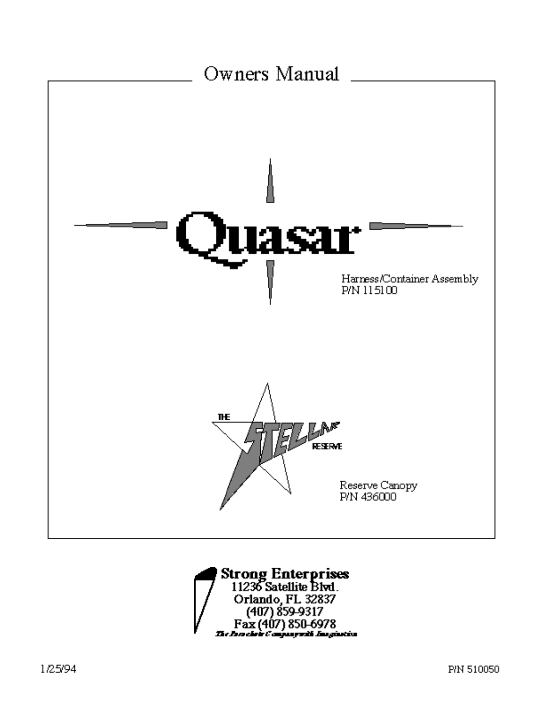

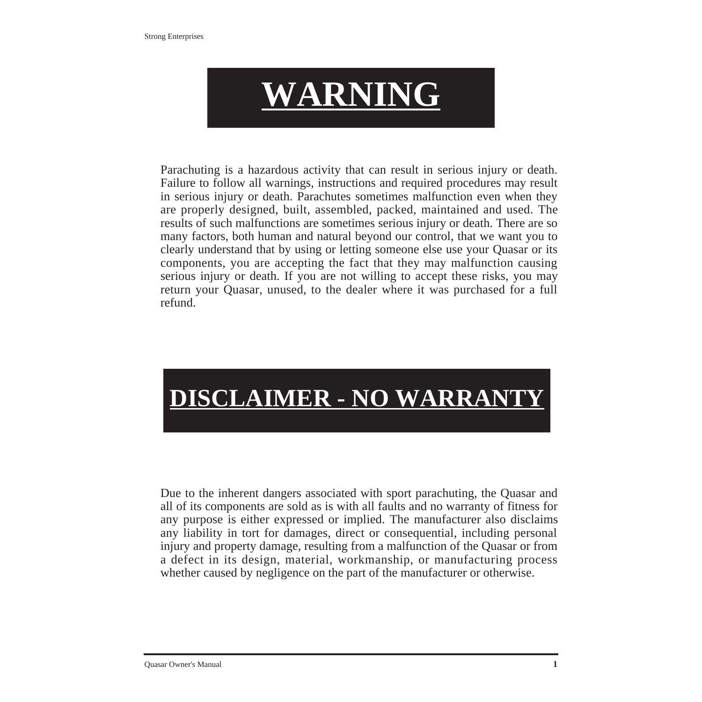

Parachuting is a hazardous activity that can result in serious injury or death. Failure to follow all warnings, instructions and required procedures may result in serious injury or death. Parachutes sometimes malfunction even when they are properly designed, built, assembled, packed, maintained and used. The results of such malfunctions are sometimes serious injury or death. There are so many factors, both human and natural beyond our control, that we want you to clearly understand that by using or letting someone else use your Quasar or its components, you are accepting the fact that they may malfunction causing serious injury or death. If you are not willing to accept these risks, you may return your Quasar, unused, to the dealer where it was purchased for a full refund.

# **DISCLAIMER - NO WARRANT**

Due to the inherent dangers associated with sport parachuting, the Quasar and all of its components are sold as is with all faults and no warranty of fitness for any purpose is either expressed or implied. The manufacturer also disclaims any liability in tort for damages, direct or consequential, including personal injury and property damage, resulting from a malfunction of the Quasar or from a defect in its design, material, workmanship, or manufacturing process whether caused by negligence on the part of the manufacturer or otherwise.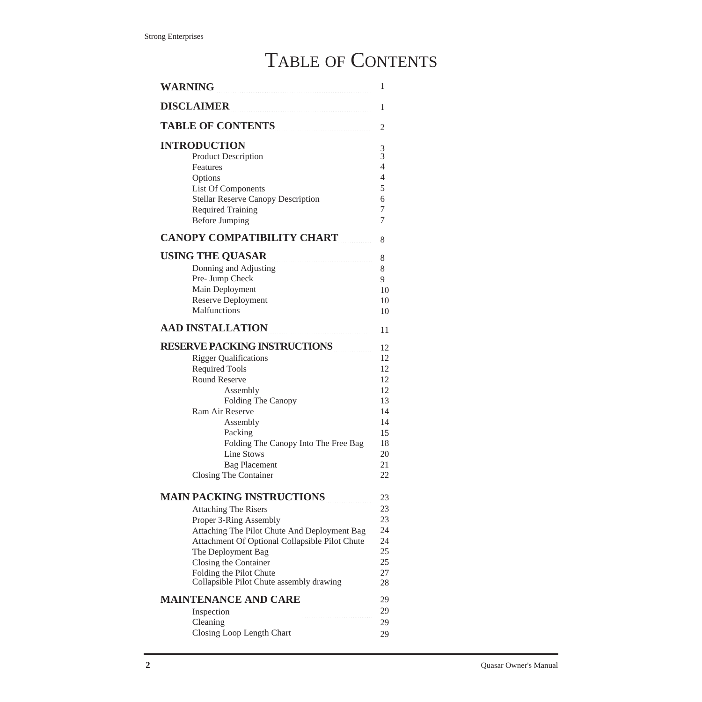## TABLE OF CONTENTS

| <b>WARNING</b>                                                                                                                                                                                                                                                                                                    | 1                                                                          |
|-------------------------------------------------------------------------------------------------------------------------------------------------------------------------------------------------------------------------------------------------------------------------------------------------------------------|----------------------------------------------------------------------------|
| <b>DISCLAIMER</b>                                                                                                                                                                                                                                                                                                 | 1                                                                          |
| TABLE OF CONTENTS                                                                                                                                                                                                                                                                                                 | 2                                                                          |
| <b>INTRODUCTION</b><br><b>Product Description</b><br>Features<br>Options<br>List Of Components<br><b>Stellar Reserve Canopy Description</b><br><b>Required Training</b><br><b>Before Jumping</b>                                                                                                                  | $\frac{3}{3}$<br>$\overline{4}$<br>$\overline{4}$<br>5<br>6<br>7<br>7      |
| <b>CANOPY COMPATIBILITY CHART</b>                                                                                                                                                                                                                                                                                 | 8                                                                          |
| <b>USING THE QUASAR</b><br>Donning and Adjusting<br>Pre- Jump Check<br>Main Deployment<br><b>Reserve Deployment</b><br>Malfunctions                                                                                                                                                                               | 8<br>8<br>9<br>10<br>10<br>10                                              |
|                                                                                                                                                                                                                                                                                                                   |                                                                            |
| <b>AAD INSTALLATION</b>                                                                                                                                                                                                                                                                                           | 11                                                                         |
| <b>RESERVE PACKING INSTRUCTIONS</b><br><b>Rigger Qualifications</b><br><b>Required Tools</b><br><b>Round Reserve</b><br>Assembly<br>Folding The Canopy<br>Ram Air Reserve<br>Assembly<br>Packing<br>Folding The Canopy Into The Free Bag<br>Line Stows<br><b>Bag Placement</b><br>Closing The Container           | 12<br>12<br>12<br>12<br>12<br>13<br>14<br>14<br>15<br>18<br>20<br>21<br>22 |
| <b>MAIN PACKING INSTRUCTIONS</b><br><b>Attaching The Risers</b><br>Proper 3-Ring Assembly<br>Attaching The Pilot Chute And Deployment Bag<br>Attachment Of Optional Collapsible Pilot Chute<br>The Deployment Bag<br>Closing the Container<br>Folding the Pilot Chute<br>Collapsible Pilot Chute assembly drawing | 23<br>23<br>23<br>24<br>24<br>25<br>25<br>27<br>28                         |
| <b>MAINTENANCE AND CARE</b><br>Inspection<br>Cleaning<br>Closing Loop Length Chart                                                                                                                                                                                                                                | 29<br>29<br>29<br>29                                                       |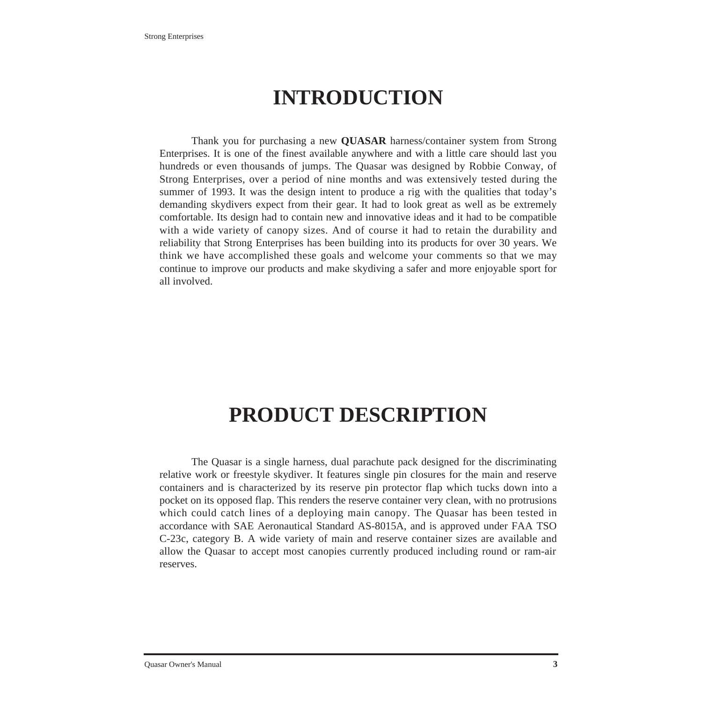# **INTRODUCTION**

Thank you for purchasing a new **QUASAR** harness/container system from Strong Enterprises. It is one of the finest available anywhere and with a little care should last you hundreds or even thousands of jumps. The Quasar was designed by Robbie Conway, of Strong Enterprises, over a period of nine months and was extensively tested during the summer of 1993. It was the design intent to produce a rig with the qualities that today's demanding skydivers expect from their gear. It had to look great as well as be extremely comfortable. Its design had to contain new and innovative ideas and it had to be compatible with a wide variety of canopy sizes. And of course it had to retain the durability and reliability that Strong Enterprises has been building into its products for over 30 years. We think we have accomplished these goals and welcome your comments so that we may continue to improve our products and make skydiving a safer and more enjoyable sport for all involved.

## **PRODUCT DESCRIPTION**

The Quasar is a single harness, dual parachute pack designed for the discriminating relative work or freestyle skydiver. It features single pin closures for the main and reserve containers and is characterized by its reserve pin protector flap which tucks down into a pocket on its opposed flap. This renders the reserve container very clean, with no protrusions which could catch lines of a deploying main canopy. The Quasar has been tested in accordance with SAE Aeronautical Standard AS-8015A, and is approved under FAA TSO C-23c, category B. A wide variety of main and reserve container sizes are available and allow the Quasar to accept most canopies currently produced including round or ram-air reserves.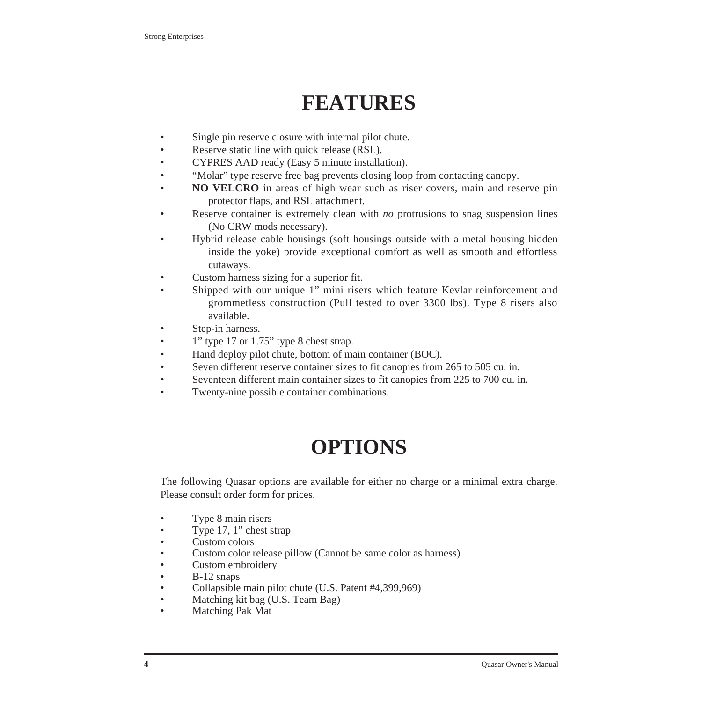# **FEATURES**

- Single pin reserve closure with internal pilot chute.
- Reserve static line with quick release (RSL).
- CYPRES AAD ready (Easy 5 minute installation).
- "Molar" type reserve free bag prevents closing loop from contacting canopy.
- **NO VELCRO** in areas of high wear such as riser covers, main and reserve pin protector flaps, and RSL attachment.
- Reserve container is extremely clean with *no* protrusions to snag suspension lines (No CRW mods necessary).
- Hybrid release cable housings (soft housings outside with a metal housing hidden inside the yoke) provide exceptional comfort as well as smooth and effortless cutaways.
- Custom harness sizing for a superior fit.
- Shipped with our unique 1" mini risers which feature Kevlar reinforcement and grommetless construction (Pull tested to over 3300 lbs). Type 8 risers also available.
- Step-in harness.
- 1" type 17 or 1.75" type 8 chest strap.
- Hand deploy pilot chute, bottom of main container (BOC).
- Seven different reserve container sizes to fit canopies from 265 to 505 cu. in.
- Seventeen different main container sizes to fit canopies from 225 to 700 cu. in.
- Twenty-nine possible container combinations.

# **OPTIONS**

The following Quasar options are available for either no charge or a minimal extra charge. Please consult order form for prices.

- Type 8 main risers
- Type 17, 1" chest strap
- Custom colors
- Custom color release pillow (Cannot be same color as harness)
- Custom embroidery
- B-12 snaps
- Collapsible main pilot chute (U.S. Patent #4,399,969)
- Matching kit bag (U.S. Team Bag)
- Matching Pak Mat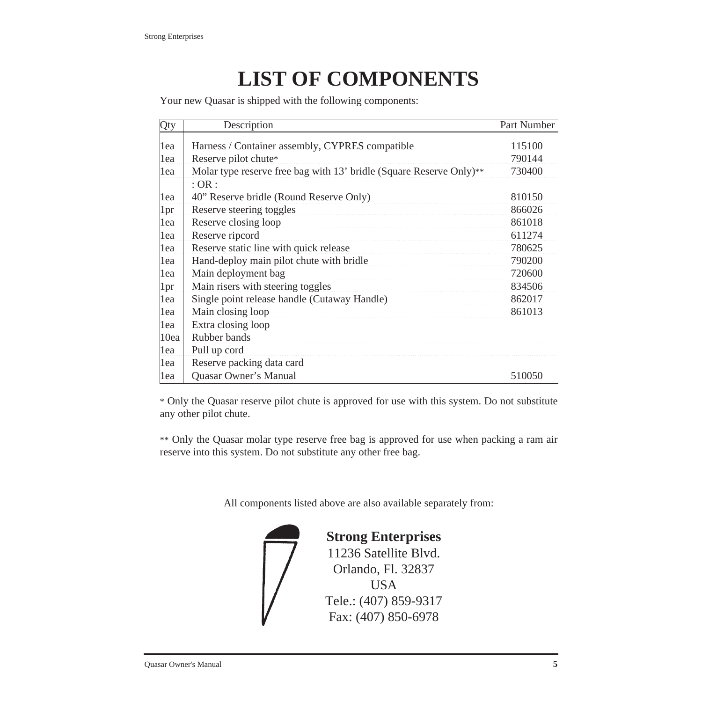# **LIST OF COMPONENTS**

Your new Quasar is shipped with the following components:

| Qty  | Description                                                         | Part Number |
|------|---------------------------------------------------------------------|-------------|
| lea  | Harness / Container assembly, CYPRES compatible                     | 115100      |
| lea  | Reserve pilot chute*                                                | 790144      |
| 1ea  | Molar type reserve free bag with 13' bridle (Square Reserve Only)** | 730400      |
|      | $:$ OR $:$                                                          |             |
| lea  | 40" Reserve bridle (Round Reserve Only)                             | 810150      |
| 1pr  | Reserve steering toggles                                            | 866026      |
| 1ea  | Reserve closing loop                                                | 861018      |
| lea  | Reserve ripcord                                                     | 611274      |
| lea  | Reserve static line with quick release                              | 780625      |
| lea  | Hand-deploy main pilot chute with bridle                            | 790200      |
| lea  | Main deployment bag                                                 | 720600      |
| 1pr  | Main risers with steering toggles                                   | 834506      |
| 1ea  | Single point release handle (Cutaway Handle)                        | 862017      |
| lea  | Main closing loop                                                   | 861013      |
| lea  | Extra closing loop                                                  |             |
| 10ea | Rubber bands                                                        |             |
| lea  | Pull up cord                                                        |             |
| lea  | Reserve packing data card                                           |             |
| lea  | Quasar Owner's Manual                                               | 510050      |

\* Only the Quasar reserve pilot chute is approved for use with this system. Do not substitute any other pilot chute.

\*\* Only the Quasar molar type reserve free bag is approved for use when packing a ram air reserve into this system. Do not substitute any other free bag.

All components listed above are also available separately from:



**Strong Enterprises** 11236 Satellite Blvd. Orlando, Fl. 32837 USA Tele.: (407) 859-9317 Fax: (407) 850-6978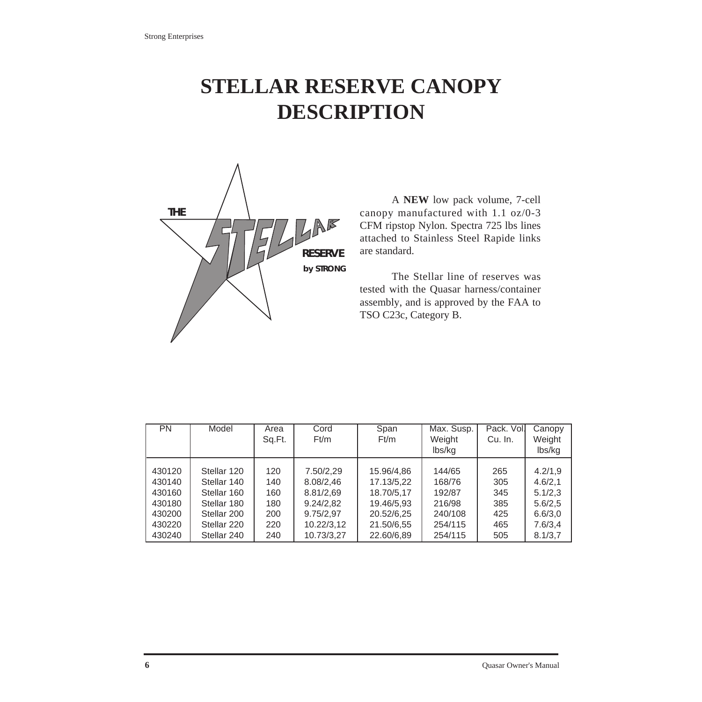# **STELLAR RESERVE CANOPY DESCRIPTION**



A **NEW** low pack volume, 7-cell canopy manufactured with 1.1 oz/0-3 CFM ripstop Nylon. Spectra 725 lbs lines attached to Stainless Steel Rapide links are standard.

The Stellar line of reserves was tested with the Quasar harness/container assembly, and is approved by the FAA to TSO C23c, Category B.

| <b>PN</b> | Model       | Area   | Cord       | Max. Susp.<br>Span |         | Pack. Vol. | Canopy  |
|-----------|-------------|--------|------------|--------------------|---------|------------|---------|
|           |             | Sq.Ft. | Ft/m       | Ft/m               | Weight  | Cu. In.    | Weight  |
|           |             |        |            |                    | lbs/kg  |            | lbs/kg  |
|           |             |        |            |                    |         |            |         |
| 430120    | Stellar 120 | 120    | 7.50/2,29  | 15.96/4,86         | 144/65  | 265        | 4.2/1,9 |
| 430140    | Stellar 140 | 140    | 8.08/2,46  | 17.13/5,22         | 168/76  | 305        | 4.6/2,1 |
| 430160    | Stellar 160 | 160    | 8.81/2,69  | 18.70/5,17         | 192/87  | 345        | 5.1/2,3 |
| 430180    | Stellar 180 | 180    | 9.24/2.82  | 19.46/5,93         | 216/98  | 385        | 5.6/2,5 |
| 430200    | Stellar 200 | 200    | 9.75/2,97  | 20.52/6,25         | 240/108 | 425        | 6.6/3,0 |
| 430220    | Stellar 220 | 220    | 10.22/3,12 | 21.50/6,55         | 254/115 | 465        | 7.6/3,4 |
| 430240    | Stellar 240 | 240    | 10.73/3,27 | 22.60/6,89         | 254/115 | 505        | 8.1/3,7 |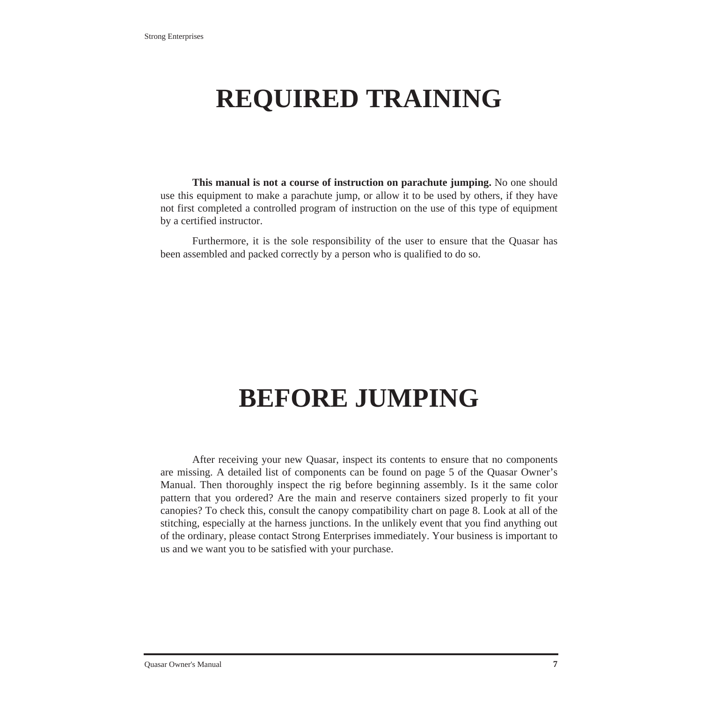# **REQUIRED TRAINING**

**This manual is not a course of instruction on parachute jumping.** No one should use this equipment to make a parachute jump, or allow it to be used by others, if they have not first completed a controlled program of instruction on the use of this type of equipment by a certified instructor.

Furthermore, it is the sole responsibility of the user to ensure that the Quasar has been assembled and packed correctly by a person who is qualified to do so.

# **BEFORE JUMPING**

After receiving your new Quasar, inspect its contents to ensure that no components are missing. A detailed list of components can be found on page 5 of the Quasar Owner's Manual. Then thoroughly inspect the rig before beginning assembly. Is it the same color pattern that you ordered? Are the main and reserve containers sized properly to fit your canopies? To check this, consult the canopy compatibility chart on page 8. Look at all of the stitching, especially at the harness junctions. In the unlikely event that you find anything out of the ordinary, please contact Strong Enterprises immediately. Your business is important to us and we want you to be satisfied with your purchase.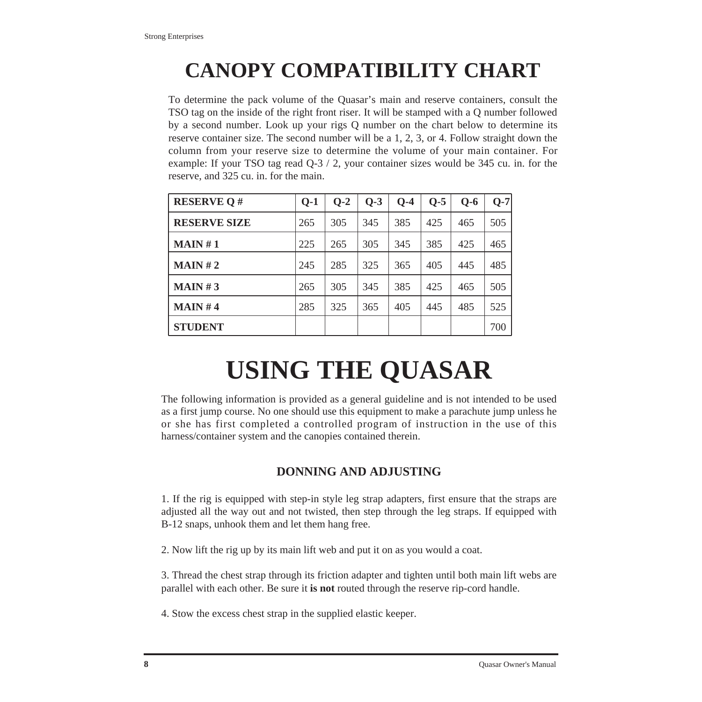# **CANOPY COMPATIBILITY CHART**

To determine the pack volume of the Quasar's main and reserve containers, consult the TSO tag on the inside of the right front riser. It will be stamped with a Q number followed by a second number. Look up your rigs Q number on the chart below to determine its reserve container size. The second number will be a 1, 2, 3, or 4. Follow straight down the column from your reserve size to determine the volume of your main container. For example: If your TSO tag read Q-3 / 2, your container sizes would be 345 cu. in. for the reserve, and 325 cu. in. for the main.

| <b>RESERVE Q#</b>   | $Q-1$ | $O-2$ | $O-3$ | $O-4$ | $Q-5$ | $O-6$ | $Q-7$ |
|---------------------|-------|-------|-------|-------|-------|-------|-------|
| <b>RESERVE SIZE</b> | 265   | 305   | 345   | 385   | 425   | 465   | 505   |
| MAIN#1              | 225   | 265   | 305   | 345   | 385   | 425   | 465   |
| MAIN#2              | 245   | 285   | 325   | 365   | 405   | 445   | 485   |
| MAIN#3              | 265   | 305   | 345   | 385   | 425   | 465   | 505   |
| MAIN#4              | 285   | 325   | 365   | 405   | 445   | 485   | 525   |
| <b>STUDENT</b>      |       |       |       |       |       |       | 700   |

# **USING THE QUASAR**

The following information is provided as a general guideline and is not intended to be used as a first jump course. No one should use this equipment to make a parachute jump unless he or she has first completed a controlled program of instruction in the use of this harness/container system and the canopies contained therein.

## **DONNING AND ADJUSTING**

1. If the rig is equipped with step-in style leg strap adapters, first ensure that the straps are adjusted all the way out and not twisted, then step through the leg straps. If equipped with B-12 snaps, unhook them and let them hang free.

2. Now lift the rig up by its main lift web and put it on as you would a coat.

3. Thread the chest strap through its friction adapter and tighten until both main lift webs are parallel with each other. Be sure it **is not** routed through the reserve rip-cord handle.

4. Stow the excess chest strap in the supplied elastic keeper.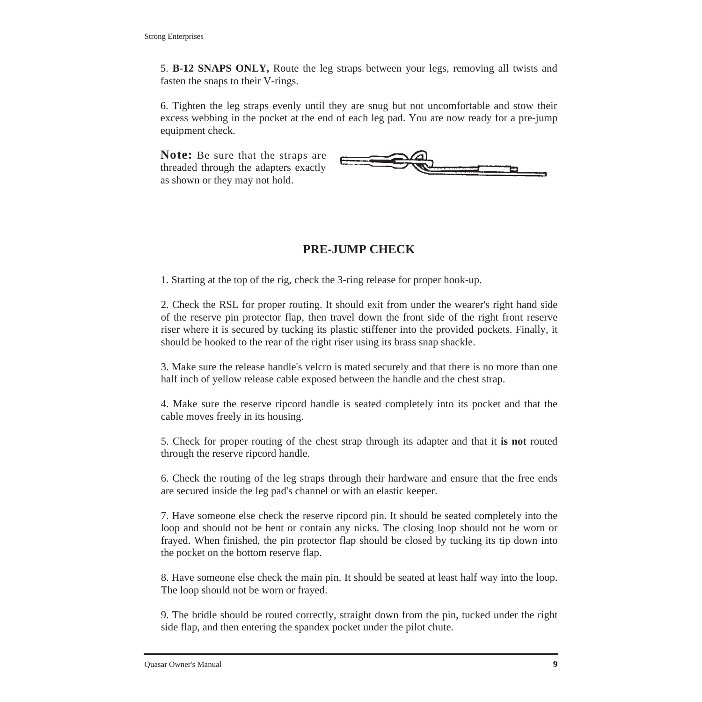5. **B-12 SNAPS ONLY,** Route the leg straps between your legs, removing all twists and fasten the snaps to their V-rings.

6. Tighten the leg straps evenly until they are snug but not uncomfortable and stow their excess webbing in the pocket at the end of each leg pad. You are now ready for a pre-jump equipment check.

**Note:** Be sure that the straps are threaded through the adapters exactly as shown or they may not hold.



## **PRE-JUMP CHECK**

1. Starting at the top of the rig, check the 3-ring release for proper hook-up.

2. Check the RSL for proper routing. It should exit from under the wearer's right hand side of the reserve pin protector flap, then travel down the front side of the right front reserve riser where it is secured by tucking its plastic stiffener into the provided pockets. Finally, it should be hooked to the rear of the right riser using its brass snap shackle.

3. Make sure the release handle's velcro is mated securely and that there is no more than one half inch of yellow release cable exposed between the handle and the chest strap.

4. Make sure the reserve ripcord handle is seated completely into its pocket and that the cable moves freely in its housing.

5. Check for proper routing of the chest strap through its adapter and that it **is not** routed through the reserve ripcord handle.

6. Check the routing of the leg straps through their hardware and ensure that the free ends are secured inside the leg pad's channel or with an elastic keeper.

7. Have someone else check the reserve ripcord pin. It should be seated completely into the loop and should not be bent or contain any nicks. The closing loop should not be worn or frayed. When finished, the pin protector flap should be closed by tucking its tip down into the pocket on the bottom reserve flap.

8. Have someone else check the main pin. It should be seated at least half way into the loop. The loop should not be worn or frayed.

9. The bridle should be routed correctly, straight down from the pin, tucked under the right side flap, and then entering the spandex pocket under the pilot chute.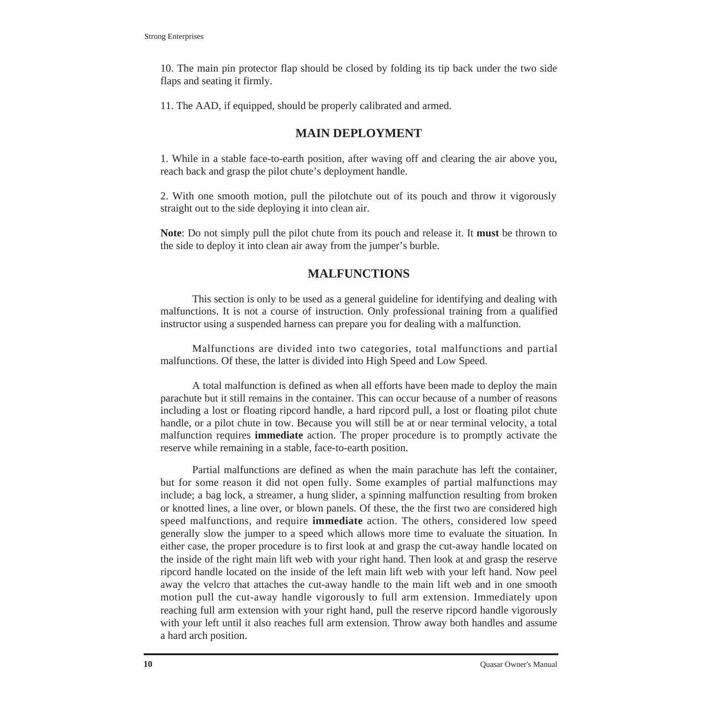10. The main pin protector flap should be closed by folding its tip back under the two side flaps and seating it firmly.

11. The AAD, if equipped, should be properly calibrated and armed.

#### **MAIN DEPLOYMENT**

1. While in a stable face-to-earth position, after waving off and clearing the air above you, reach back and grasp the pilot chute's deployment handle.

2. With one smooth motion, pull the pilotchute out of its pouch and throw it vigorously straight out to the side deploying it into clean air.

**Note**: Do not simply pull the pilot chute from its pouch and release it. It **must** be thrown to the side to deploy it into clean air away from the jumper's burble.

#### **MALFUNCTIONS**

This section is only to be used as a general guideline for identifying and dealing with malfunctions. It is not a course of instruction. Only professional training from a qualified instructor using a suspended harness can prepare you for dealing with a malfunction.

Malfunctions are divided into two categories, total malfunctions and partial malfunctions. Of these, the latter is divided into High Speed and Low Speed.

A total malfunction is defined as when all efforts have been made to deploy the main parachute but it still remains in the container. This can occur because of a number of reasons including a lost or floating ripcord handle, a hard ripcord pull, a lost or floating pilot chute handle, or a pilot chute in tow. Because you will still be at or near terminal velocity, a total malfunction requires **immediate** action. The proper procedure is to promptly activate the reserve while remaining in a stable, face-to-earth position.

Partial malfunctions are defined as when the main parachute has left the container, but for some reason it did not open fully. Some examples of partial malfunctions may include; a bag lock, a streamer, a hung slider, a spinning malfunction resulting from broken or knotted lines, a line over, or blown panels. Of these, the the first two are considered high speed malfunctions, and require **immediate** action. The others, considered low speed generally slow the jumper to a speed which allows more time to evaluate the situation. In either case, the proper procedure is to first look at and grasp the cut-away handle located on the inside of the right main lift web with your right hand. Then look at and grasp the reserve ripcord handle located on the inside of the left main lift web with your left hand. Now peel away the velcro that attaches the cut-away handle to the main lift web and in one smooth motion pull the cut-away handle vigorously to full arm extension. Immediately upon reaching full arm extension with your right hand, pull the reserve ripcord handle vigorously with your left until it also reaches full arm extension. Throw away both handles and assume a hard arch position.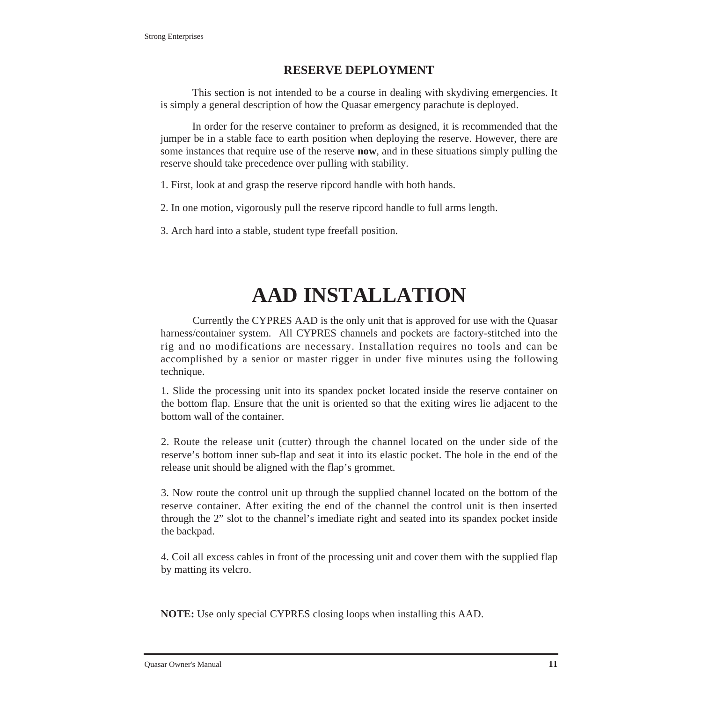#### **RESERVE DEPLOYMENT**

This section is not intended to be a course in dealing with skydiving emergencies. It is simply a general description of how the Quasar emergency parachute is deployed.

In order for the reserve container to preform as designed, it is recommended that the jumper be in a stable face to earth position when deploying the reserve. However, there are some instances that require use of the reserve **now**, and in these situations simply pulling the reserve should take precedence over pulling with stability.

1. First, look at and grasp the reserve ripcord handle with both hands.

2. In one motion, vigorously pull the reserve ripcord handle to full arms length.

3. Arch hard into a stable, student type freefall position.

# **AAD INSTALLATION**

Currently the CYPRES AAD is the only unit that is approved for use with the Quasar harness/container system. All CYPRES channels and pockets are factory-stitched into the rig and no modifications are necessary. Installation requires no tools and can be accomplished by a senior or master rigger in under five minutes using the following technique.

1. Slide the processing unit into its spandex pocket located inside the reserve container on the bottom flap. Ensure that the unit is oriented so that the exiting wires lie adjacent to the bottom wall of the container.

2. Route the release unit (cutter) through the channel located on the under side of the reserve's bottom inner sub-flap and seat it into its elastic pocket. The hole in the end of the release unit should be aligned with the flap's grommet.

3. Now route the control unit up through the supplied channel located on the bottom of the reserve container. After exiting the end of the channel the control unit is then inserted through the 2" slot to the channel's imediate right and seated into its spandex pocket inside the backpad.

4. Coil all excess cables in front of the processing unit and cover them with the supplied flap by matting its velcro.

**NOTE:** Use only special CYPRES closing loops when installing this AAD.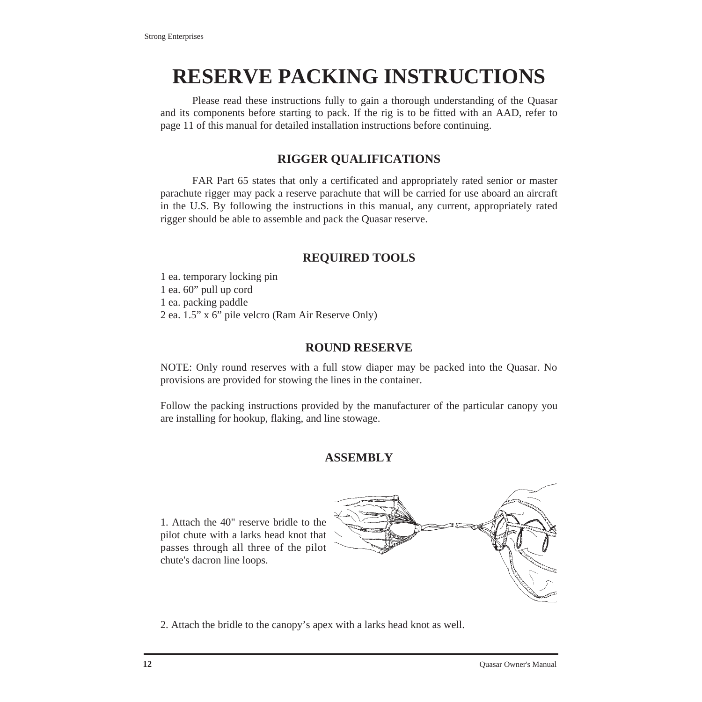# **RESERVE PACKING INSTRUCTIONS**

Please read these instructions fully to gain a thorough understanding of the Quasar and its components before starting to pack. If the rig is to be fitted with an AAD, refer to page 11 of this manual for detailed installation instructions before continuing.

### **RIGGER QUALIFICATIONS**

FAR Part 65 states that only a certificated and appropriately rated senior or master parachute rigger may pack a reserve parachute that will be carried for use aboard an aircraft in the U.S. By following the instructions in this manual, any current, appropriately rated rigger should be able to assemble and pack the Quasar reserve.

## **REQUIRED TOOLS**

1 ea. temporary locking pin 1 ea. 60" pull up cord 1 ea. packing paddle 2 ea. 1.5" x 6" pile velcro (Ram Air Reserve Only)

#### **ROUND RESERVE**

NOTE: Only round reserves with a full stow diaper may be packed into the Quasar. No provisions are provided for stowing the lines in the container.

Follow the packing instructions provided by the manufacturer of the particular canopy you are installing for hookup, flaking, and line stowage.

## **ASSEMBLY**

1. Attach the 40" reserve bridle to the pilot chute with a larks head knot that passes through all three of the pilot chute's dacron line loops.



2. Attach the bridle to the canopy's apex with a larks head knot as well.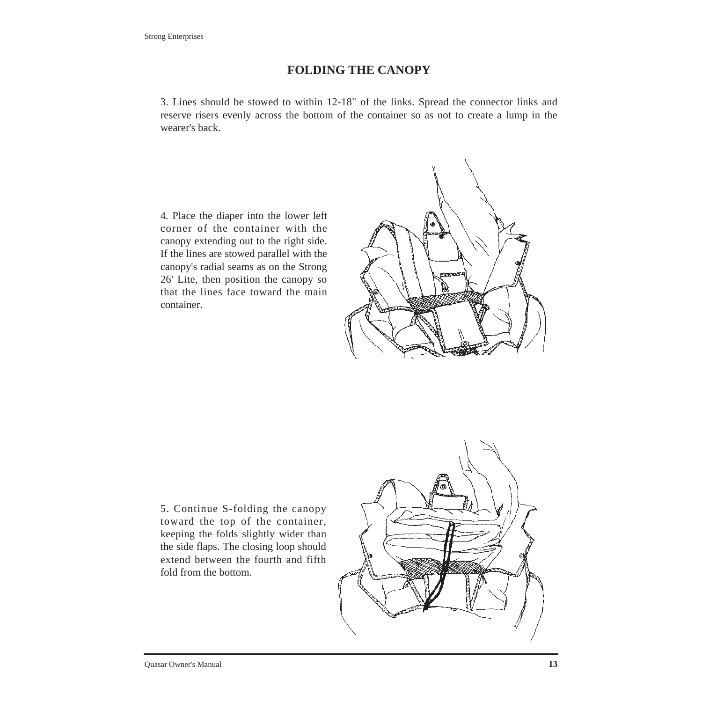#### **FOLDING THE CANOPY**

3. Lines should be stowed to within 12-18" of the links. Spread the connector links and reserve risers evenly across the bottom of the container so as not to create a lump in the wearer's back.

4. Place the diaper into the lower left corner of the container with the canopy extending out to the right side. If the lines are stowed parallel with the canopy's radial seams as on the Strong 26' Lite, then position the canopy so that the lines face toward the main container.



5. Continue S-folding the canopy toward the top of the container, keeping the folds slightly wider than the side flaps. The closing loop should extend between the fourth and fifth fold from the bottom.

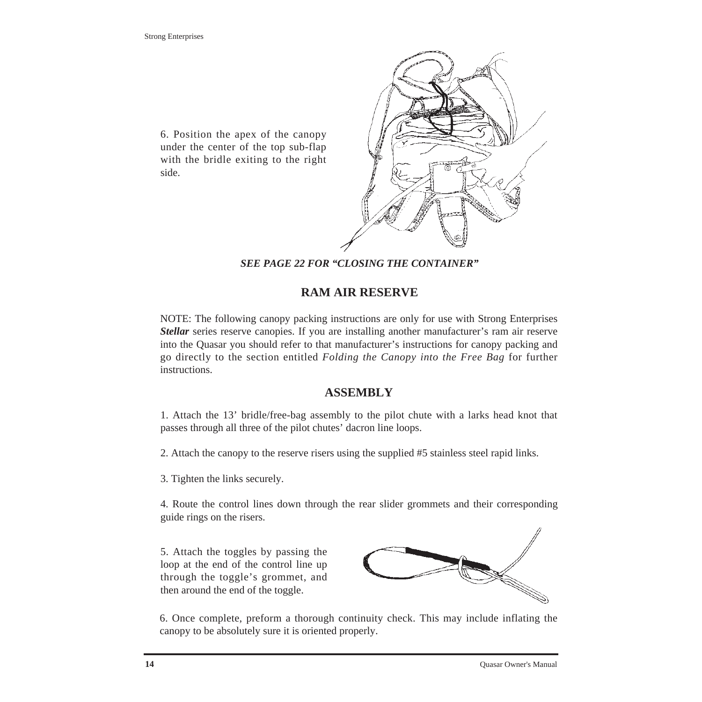6. Position the apex of the canopy under the center of the top sub-flap with the bridle exiting to the right side.



*SEE PAGE 22 FOR "CLOSING THE CONTAINER"*

#### **RAM AIR RESERVE**

NOTE: The following canopy packing instructions are only for use with Strong Enterprises *Stellar* series reserve canopies. If you are installing another manufacturer's ram air reserve into the Quasar you should refer to that manufacturer's instructions for canopy packing and go directly to the section entitled *Folding the Canopy into the Free Bag* for further instructions.

#### **ASSEMBLY**

1. Attach the 13' bridle/free-bag assembly to the pilot chute with a larks head knot that passes through all three of the pilot chutes' dacron line loops.

2. Attach the canopy to the reserve risers using the supplied #5 stainless steel rapid links.

3. Tighten the links securely.

4. Route the control lines down through the rear slider grommets and their corresponding guide rings on the risers.

5. Attach the toggles by passing the loop at the end of the control line up through the toggle's grommet, and then around the end of the toggle.



6. Once complete, preform a thorough continuity check. This may include inflating the canopy to be absolutely sure it is oriented properly.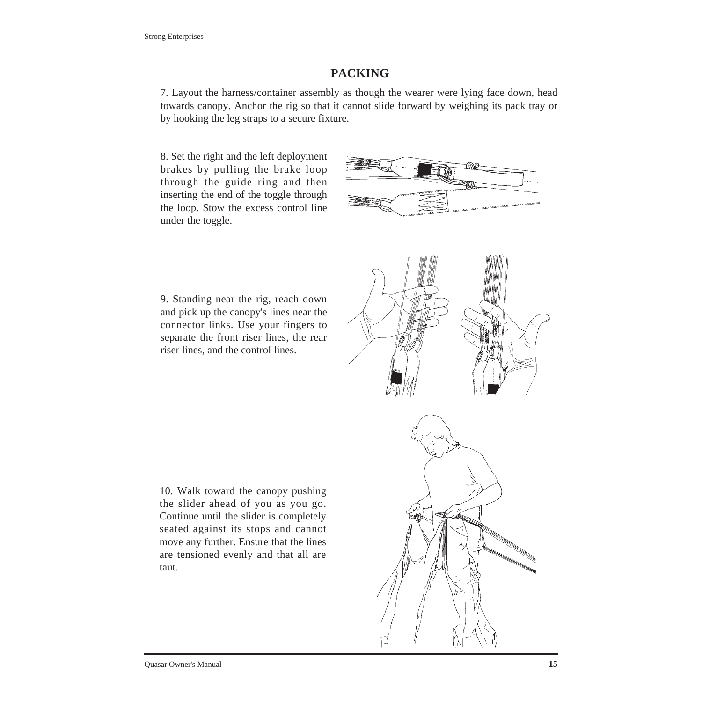#### **PACKING**

7. Layout the harness/container assembly as though the wearer were lying face down, head towards canopy. Anchor the rig so that it cannot slide forward by weighing its pack tray or by hooking the leg straps to a secure fixture.

8. Set the right and the left deployment brakes by pulling the brake loop through the guide ring and then inserting the end of the toggle through the loop. Stow the excess control line under the toggle.



9. Standing near the rig, reach down and pick up the canopy's lines near the connector links. Use your fingers to separate the front riser lines, the rear riser lines, and the control lines.



10. Walk toward the canopy pushing the slider ahead of you as you go. Continue until the slider is completely seated against its stops and cannot move any further. Ensure that the lines are tensioned evenly and that all are taut.

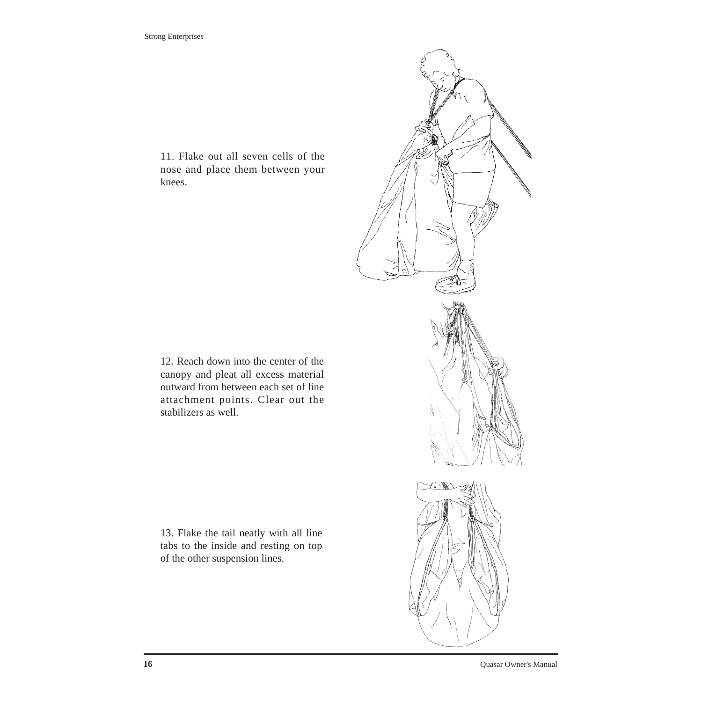11. Flake out all seven cells of the nose and place them between your knees.

12. Reach down into the center of the canopy and pleat all excess material outward from between each set of line attachment points. Clear out the stabilizers as well.

13. Flake the tail neatly with all line tabs to the inside and resting on top of the other suspension lines.

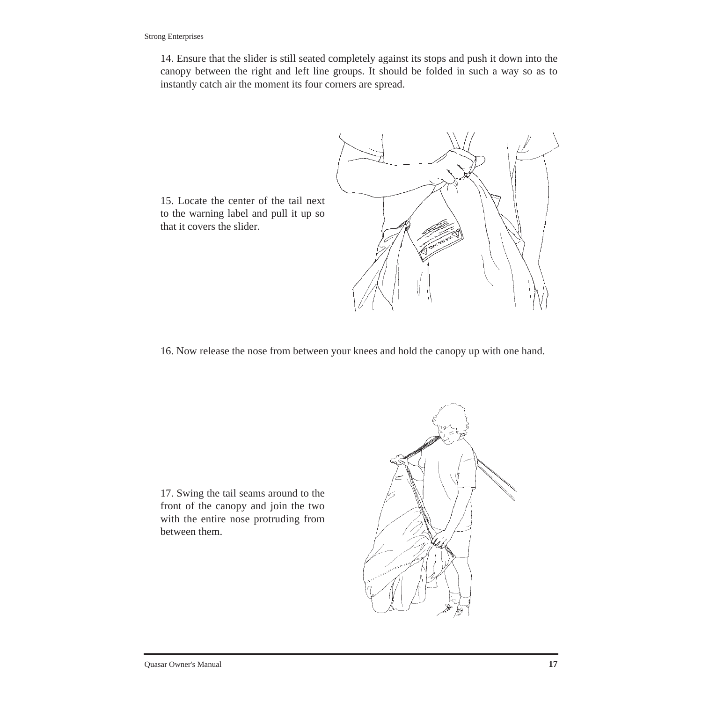14. Ensure that the slider is still seated completely against its stops and push it down into the canopy between the right and left line groups. It should be folded in such a way so as to instantly catch air the moment its four corners are spread.



to the warning label and pull it up so that it covers the slider.

16. Now release the nose from between your knees and hold the canopy up with one hand.

17. Swing the tail seams around to the front of the canopy and join the two with the entire nose protruding from between them.

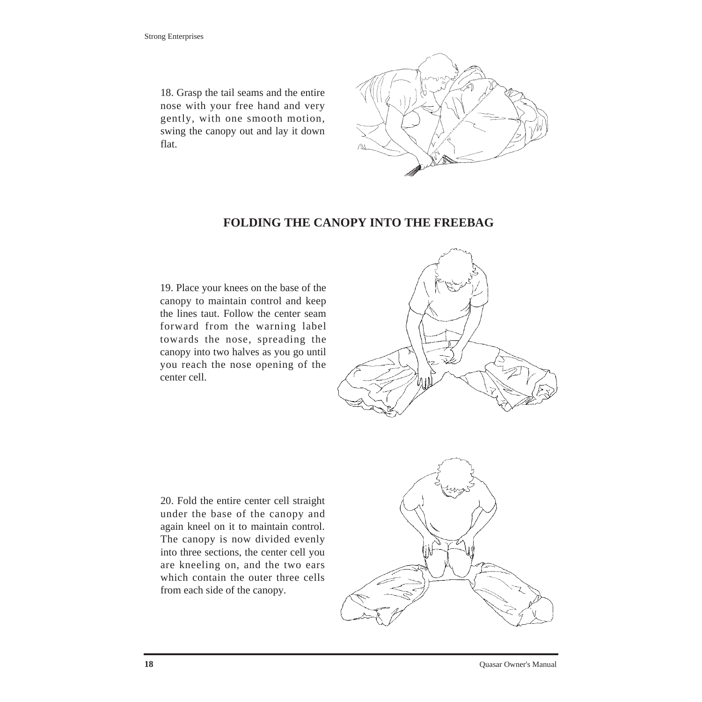18. Grasp the tail seams and the entire nose with your free hand and very gently, with one smooth motion, swing the canopy out and lay it down flat.



### **FOLDING THE CANOPY INTO THE FREEBAG**

19. Place your knees on the base of the canopy to maintain control and keep the lines taut. Follow the center seam forward from the warning label towards the nose, spreading the canopy into two halves as you go until you reach the nose opening of the center cell.



20. Fold the entire center cell straight under the base of the canopy and again kneel on it to maintain control. The canopy is now divided evenly into three sections, the center cell you are kneeling on, and the two ears which contain the outer three cells from each side of the canopy.

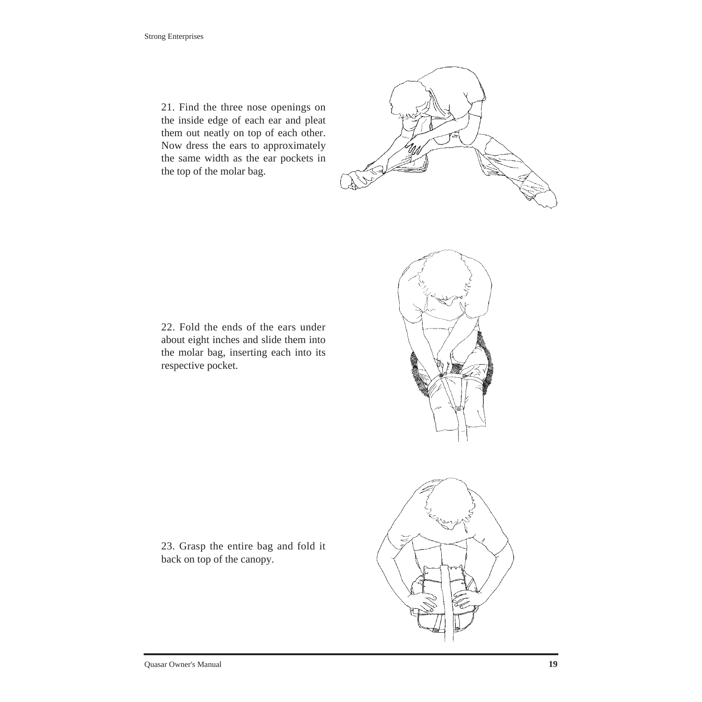21. Find the three nose openings on the inside edge of each ear and pleat them out neatly on top of each other. Now dress the ears to approximately the same width as the ear pockets in the top of the molar bag.



22. Fold the ends of the ears under about eight inches and slide them into the molar bag, inserting each into its respective pocket.

23. Grasp the entire bag and fold it back on top of the canopy.

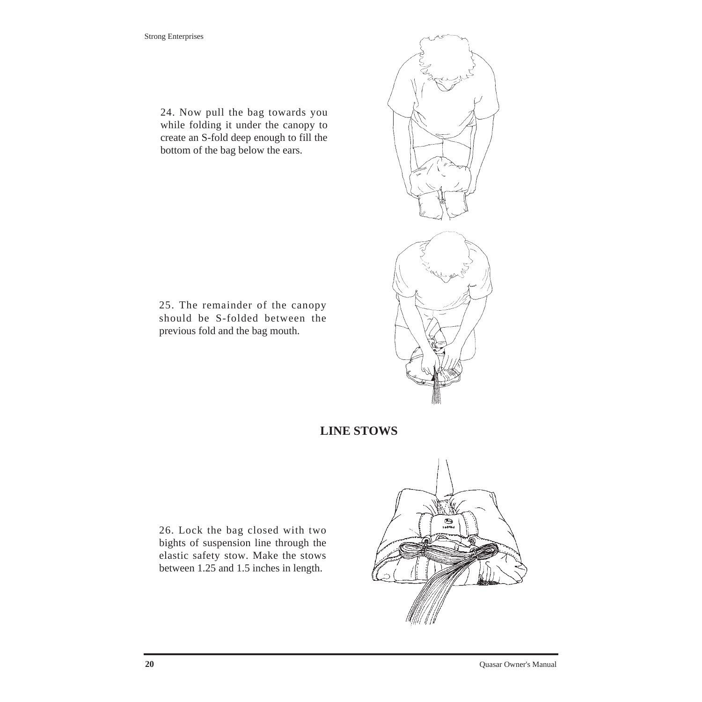24. Now pull the bag towards you while folding it under the canopy to create an S-fold deep enough to fill the bottom of the bag below the ears.

25. The remainder of the canopy should be S-folded between the previous fold and the bag mouth.



### **LINE STOWS**

26. Lock the bag closed with two bights of suspension line through the elastic safety stow. Make the stows between 1.25 and 1.5 inches in length.

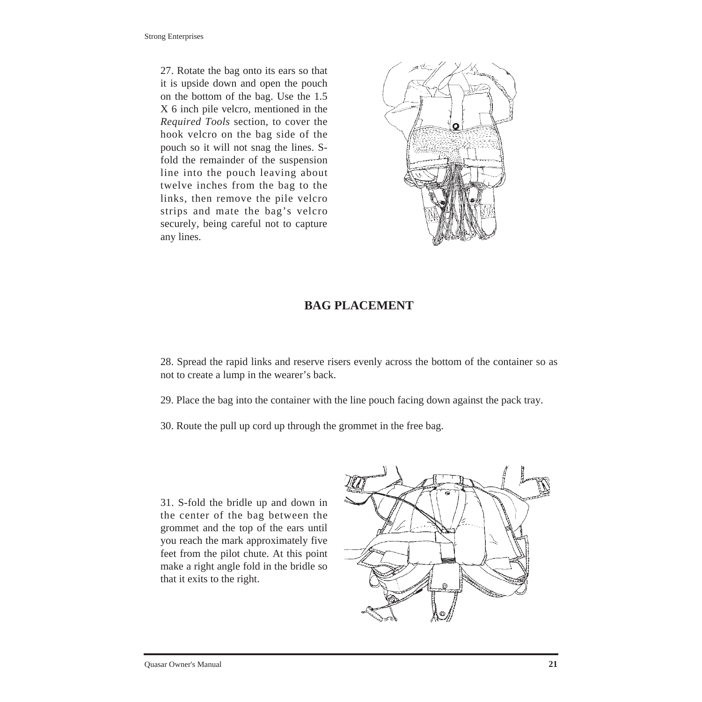Strong Enterprises

27. Rotate the bag onto its ears so that it is upside down and open the pouch on the bottom of the bag. Use the 1.5 X 6 inch pile velcro, mentioned in the *Required Tools* section, to cover the hook velcro on the bag side of the pouch so it will not snag the lines. Sfold the remainder of the suspension line into the pouch leaving about twelve inches from the bag to the links, then remove the pile velcro strips and mate the bag's velcro securely, being careful not to capture any lines.



### **BAG PLACEMENT**

28. Spread the rapid links and reserve risers evenly across the bottom of the container so as not to create a lump in the wearer's back.

29. Place the bag into the container with the line pouch facing down against the pack tray.

30. Route the pull up cord up through the grommet in the free bag.

31. S-fold the bridle up and down in the center of the bag between the grommet and the top of the ears until you reach the mark approximately five feet from the pilot chute. At this point make a right angle fold in the bridle so that it exits to the right.

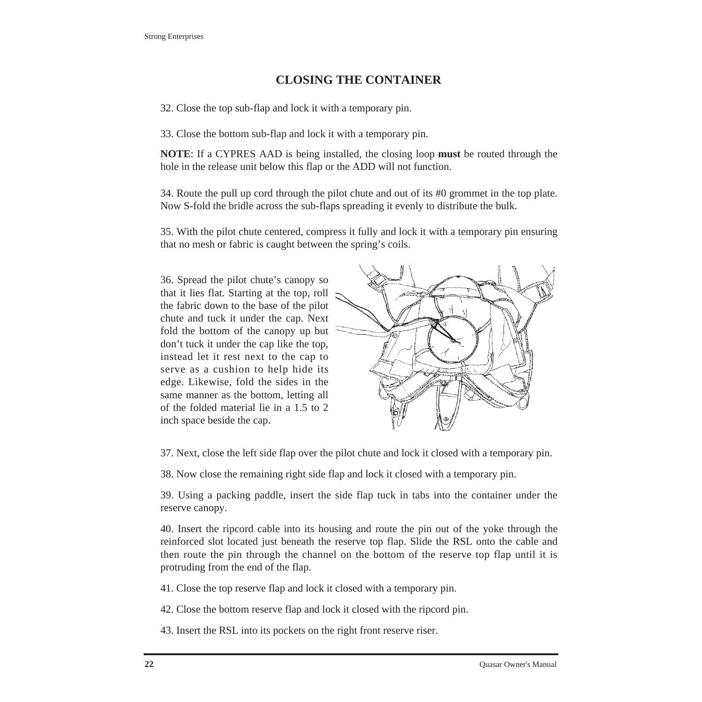### **CLOSING THE CONTAINER**

32. Close the top sub-flap and lock it with a temporary pin.

33. Close the bottom sub-flap and lock it with a temporary pin.

**NOTE**: If a CYPRES AAD is being installed, the closing loop **must** be routed through the hole in the release unit below this flap or the ADD will not function.

34. Route the pull up cord through the pilot chute and out of its #0 grommet in the top plate. Now S-fold the bridle across the sub-flaps spreading it evenly to distribute the bulk.

35. With the pilot chute centered, compress it fully and lock it with a temporary pin ensuring that no mesh or fabric is caught between the spring's coils.

36. Spread the pilot chute's canopy so that it lies flat. Starting at the top, roll the fabric down to the base of the pilot chute and tuck it under the cap. Next fold the bottom of the canopy up but don't tuck it under the cap like the top, instead let it rest next to the cap to serve as a cushion to help hide its edge. Likewise, fold the sides in the same manner as the bottom, letting all of the folded material lie in a 1.5 to 2 inch space beside the cap.



37. Next, close the left side flap over the pilot chute and lock it closed with a temporary pin.

38. Now close the remaining right side flap and lock it closed with a temporary pin.

39. Using a packing paddle, insert the side flap tuck in tabs into the container under the reserve canopy.

40. Insert the ripcord cable into its housing and route the pin out of the yoke through the reinforced slot located just beneath the reserve top flap. Slide the RSL onto the cable and then route the pin through the channel on the bottom of the reserve top flap until it is protruding from the end of the flap.

41. Close the top reserve flap and lock it closed with a temporary pin.

42. Close the bottom reserve flap and lock it closed with the ripcord pin.

43. Insert the RSL into its pockets on the right front reserve riser.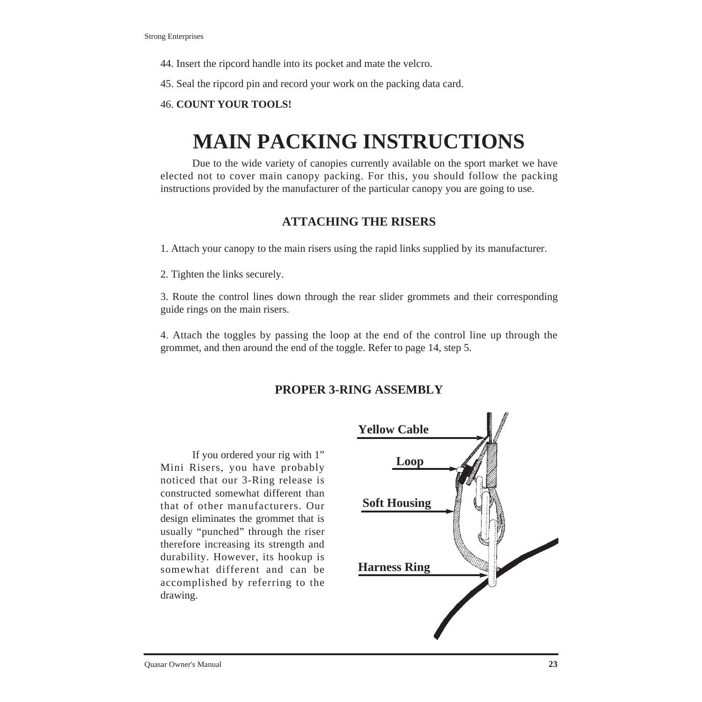- 44. Insert the ripcord handle into its pocket and mate the velcro.
- 45. Seal the ripcord pin and record your work on the packing data card.

#### 46. **COUNT YOUR TOOLS!**

# **MAIN PACKING INSTRUCTIONS**

Due to the wide variety of canopies currently available on the sport market we have elected not to cover main canopy packing. For this, you should follow the packing instructions provided by the manufacturer of the particular canopy you are going to use.

#### **ATTACHING THE RISERS**

- 1. Attach your canopy to the main risers using the rapid links supplied by its manufacturer.
- 2. Tighten the links securely.

3. Route the control lines down through the rear slider grommets and their corresponding guide rings on the main risers.

4. Attach the toggles by passing the loop at the end of the control line up through the grommet, and then around the end of the toggle. Refer to page 14, step 5.

#### **PROPER 3-RING ASSEMBLY**

If you ordered your rig with 1" Mini Risers, you have probably noticed that our 3-Ring release is constructed somewhat different than that of other manufacturers. Our design eliminates the grommet that is usually "punched" through the riser therefore increasing its strength and durability. However, its hookup is somewhat different and can be accomplished by referring to the drawing.

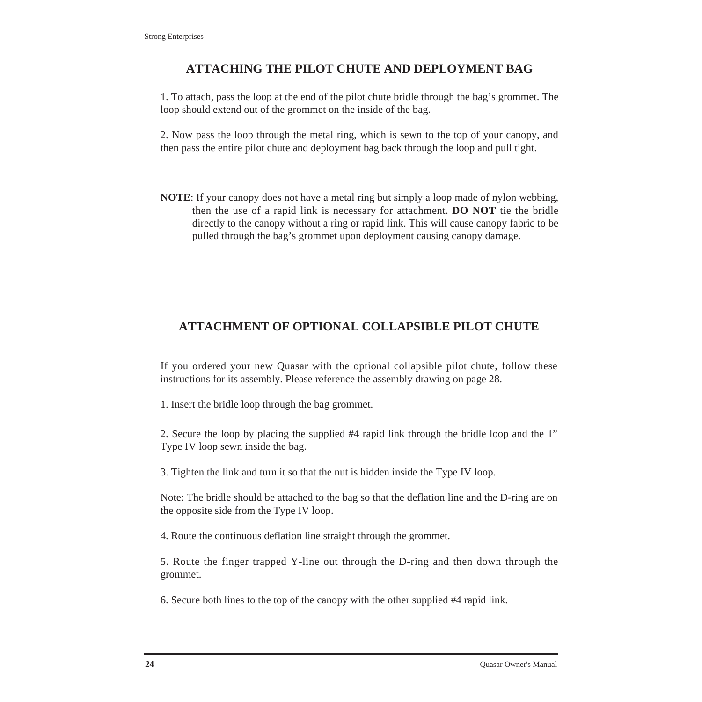## **ATTACHING THE PILOT CHUTE AND DEPLOYMENT BAG**

1. To attach, pass the loop at the end of the pilot chute bridle through the bag's grommet. The loop should extend out of the grommet on the inside of the bag.

2. Now pass the loop through the metal ring, which is sewn to the top of your canopy, and then pass the entire pilot chute and deployment bag back through the loop and pull tight.

**NOTE**: If your canopy does not have a metal ring but simply a loop made of nylon webbing, then the use of a rapid link is necessary for attachment. **DO NOT** tie the bridle directly to the canopy without a ring or rapid link. This will cause canopy fabric to be pulled through the bag's grommet upon deployment causing canopy damage.

## **ATTACHMENT OF OPTIONAL COLLAPSIBLE PILOT CHUTE**

If you ordered your new Quasar with the optional collapsible pilot chute, follow these instructions for its assembly. Please reference the assembly drawing on page 28.

1. Insert the bridle loop through the bag grommet.

2. Secure the loop by placing the supplied #4 rapid link through the bridle loop and the 1" Type IV loop sewn inside the bag.

3. Tighten the link and turn it so that the nut is hidden inside the Type IV loop.

Note: The bridle should be attached to the bag so that the deflation line and the D-ring are on the opposite side from the Type IV loop.

4. Route the continuous deflation line straight through the grommet.

5. Route the finger trapped Y-line out through the D-ring and then down through the grommet.

6. Secure both lines to the top of the canopy with the other supplied #4 rapid link.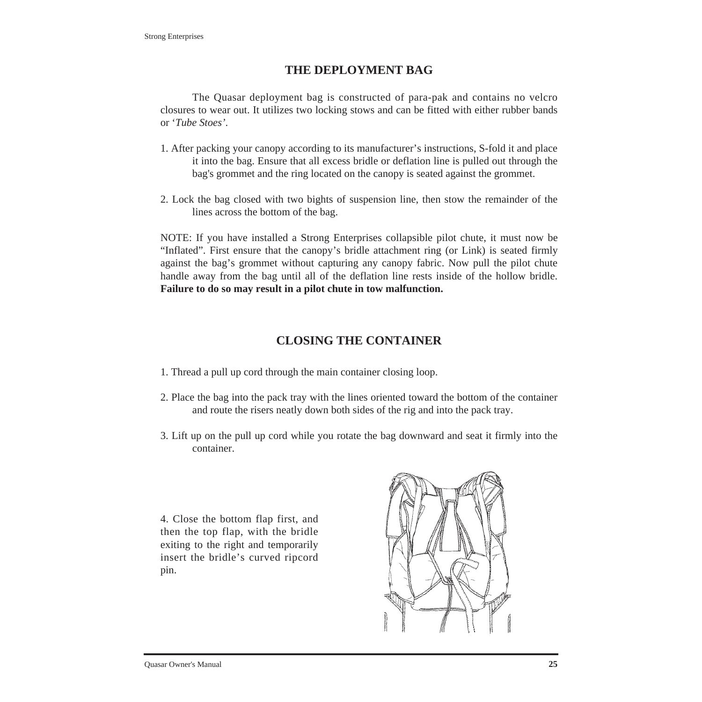#### **THE DEPLOYMENT BAG**

The Quasar deployment bag is constructed of para-pak and contains no velcro closures to wear out. It utilizes two locking stows and can be fitted with either rubber bands or '*Tube Stoes'*.

- 1. After packing your canopy according to its manufacturer's instructions, S-fold it and place it into the bag. Ensure that all excess bridle or deflation line is pulled out through the bag's grommet and the ring located on the canopy is seated against the grommet.
- 2. Lock the bag closed with two bights of suspension line, then stow the remainder of the lines across the bottom of the bag.

NOTE: If you have installed a Strong Enterprises collapsible pilot chute, it must now be "Inflated". First ensure that the canopy's bridle attachment ring (or Link) is seated firmly against the bag's grommet without capturing any canopy fabric. Now pull the pilot chute handle away from the bag until all of the deflation line rests inside of the hollow bridle. **Failure to do so may result in a pilot chute in tow malfunction.**

## **CLOSING THE CONTAINER**

- 1. Thread a pull up cord through the main container closing loop.
- 2. Place the bag into the pack tray with the lines oriented toward the bottom of the container and route the risers neatly down both sides of the rig and into the pack tray.
- 3. Lift up on the pull up cord while you rotate the bag downward and seat it firmly into the container.

4. Close the bottom flap first, and then the top flap, with the bridle exiting to the right and temporarily insert the bridle's curved ripcord pin.

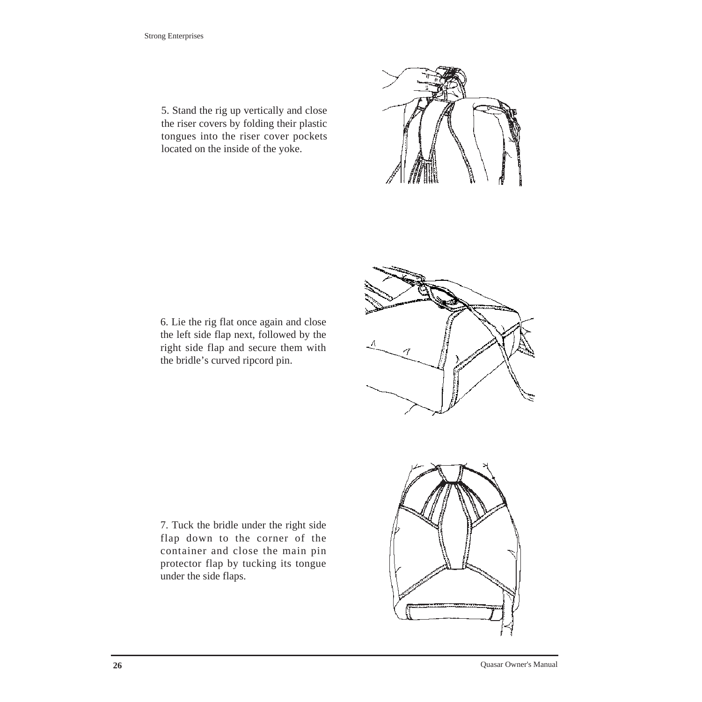5. Stand the rig up vertically and close the riser covers by folding their plastic tongues into the riser cover pockets located on the inside of the yoke.

6. Lie the rig flat once again and close the left side flap next, followed by the right side flap and secure them with the bridle's curved ripcord pin.

7. Tuck the bridle under the right side flap down to the corner of the container and close the main pin protector flap by tucking its tongue under the side flaps.





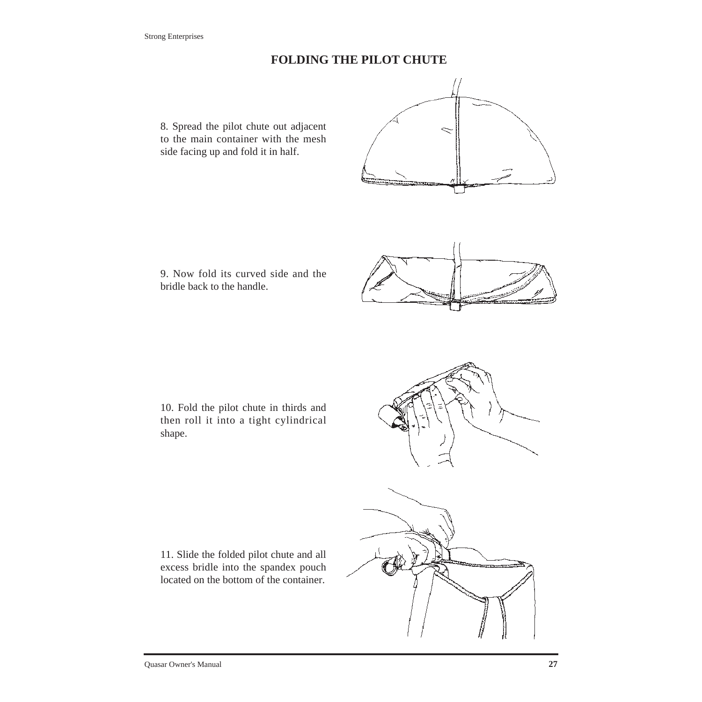#### **FOLDING THE PILOT CHUTE**

8. Spread the pilot chute out adjacent to the main container with the mesh side facing up and fold it in half.





9. Now fold its curved side and the bridle back to the handle.

10. Fold the pilot chute in thirds and then roll it into a tight cylindrical shape.

11. Slide the folded pilot chute and all excess bridle into the spandex pouch located on the bottom of the container.

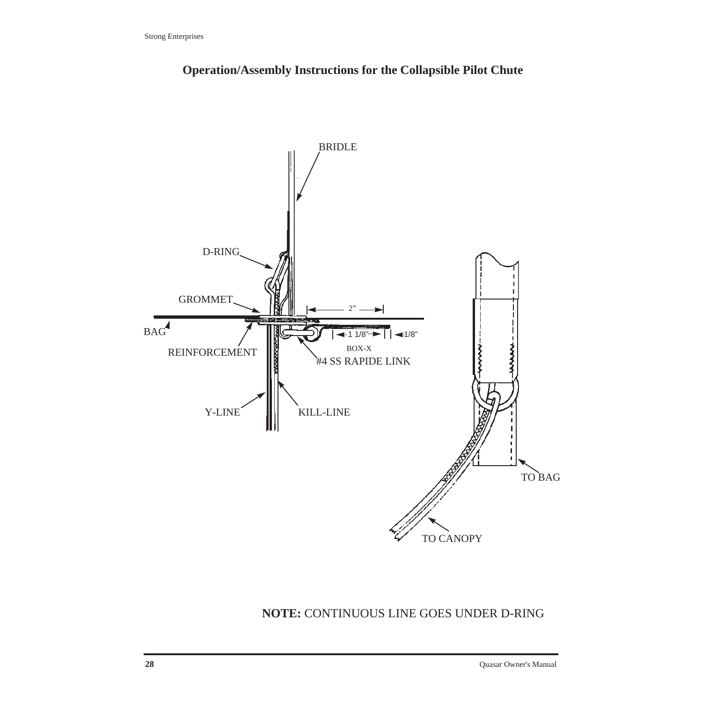

**Operation/Assembly Instructions for the Collapsible Pilot Chute**

## **NOTE:** CONTINUOUS LINE GOES UNDER D-RING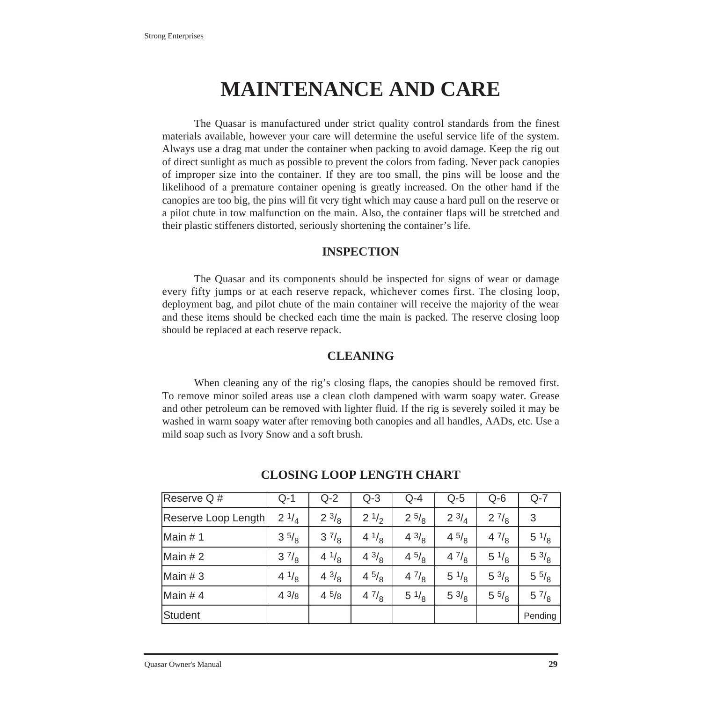# **MAINTENANCE AND CARE**

The Quasar is manufactured under strict quality control standards from the finest materials available, however your care will determine the useful service life of the system. Always use a drag mat under the container when packing to avoid damage. Keep the rig out of direct sunlight as much as possible to prevent the colors from fading. Never pack canopies of improper size into the container. If they are too small, the pins will be loose and the likelihood of a premature container opening is greatly increased. On the other hand if the canopies are too big, the pins will fit very tight which may cause a hard pull on the reserve or a pilot chute in tow malfunction on the main. Also, the container flaps will be stretched and their plastic stiffeners distorted, seriously shortening the container's life.

#### **INSPECTION**

The Quasar and its components should be inspected for signs of wear or damage every fifty jumps or at each reserve repack, whichever comes first. The closing loop, deployment bag, and pilot chute of the main container will receive the majority of the wear and these items should be checked each time the main is packed. The reserve closing loop should be replaced at each reserve repack.

#### **CLEANING**

When cleaning any of the rig's closing flaps, the canopies should be removed first. To remove minor soiled areas use a clean cloth dampened with warm soapy water. Grease and other petroleum can be removed with lighter fluid. If the rig is severely soiled it may be washed in warm soapy water after removing both canopies and all handles, AADs, etc. Use a mild soap such as Ivory Snow and a soft brush.

| Reserve Q#          | $Q-1$          | $Q-2$           | $Q - 3$         | $Q - 4$         | $Q-5$           | $Q-6$           | $Q-7$           |
|---------------------|----------------|-----------------|-----------------|-----------------|-----------------|-----------------|-----------------|
| Reserve Loop Length | $2^{1/4}$      | $2 \frac{3}{8}$ | $2 \frac{1}{2}$ | $2^{5/8}$       | $2 \frac{3}{4}$ | $2\frac{7}{8}$  | 3               |
| Main #1             | 35/8           | $3\frac{7}{8}$  | $4^{1/8}$       | $4 \frac{3}{8}$ | 45/8            | 47/8            | $5 \frac{1}{8}$ |
| Main $# 2$          | $3\frac{7}{8}$ | $4^{1/8}$       | $4^{3}/_8$      | 45/8            | 47/8            | $5 \frac{1}{8}$ | $5 \frac{3}{8}$ |
| Main $# 3$          | $4^{1/8}$      | $4 \frac{3}{8}$ | 45/8            | 47/8            | $5 \frac{1}{8}$ | $5 \frac{3}{8}$ | $5\frac{5}{8}$  |
| Main #4             | $4^{3/8}$      | $4\frac{5}{8}$  | 47/8            | $5 \frac{1}{8}$ | $5 \frac{3}{8}$ | $5\frac{5}{8}$  | $5\frac{7}{8}$  |
| Student             |                |                 |                 |                 |                 |                 | Pending         |

#### **CLOSING LOOP LENGTH CHART**